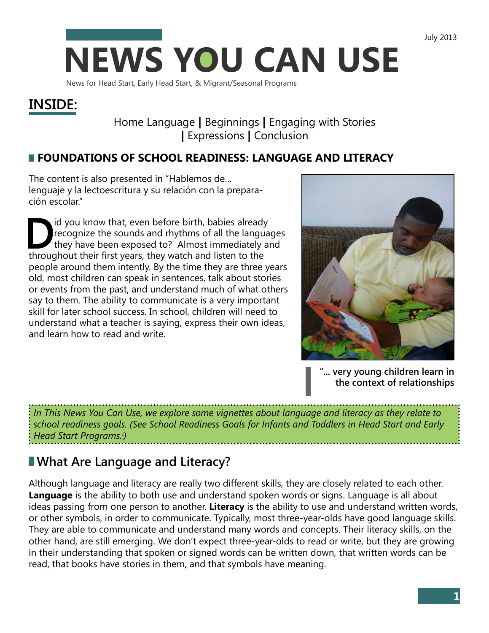

News for Head Start, Early Head Start, & Migrant/Seasonal Programs

# **INSIDE:**

## Home Language **|** Beginnings **|** Engaging with Stories **|** Expressions **|** Conclusion

## **FOUNDATIONS OF SCHOOL READINESS: LANGUAGE AND LITERACY**

The content is also presented in "Hablemos de… lenguaje y la lectoescritura y su relación con la preparación escolar."

Id you know that, even before birth, babies already<br>recognize the sounds and rhythms of all the langua<br>they have been exposed to? Almost immediately and<br>throughout their first vears that watch and litten to the recognize the sounds and rhythms of all the languages they have been exposed to? Almost immediately and throughout their first years, they watch and listen to the people around them intently. By the time they are three years old, most children can speak in sentences, talk about stories or events from the past, and understand much of what others say to them. The ability to communicate is a very important skill for later school success. In school, children will need to understand what a teacher is saying, express their own ideas, and learn how to read and write.



**"... very young children learn in the context of relationships** 

*In This News You Can Use, we explore some vignettes about language and literacy as they relate to school readiness goals. (See School Readiness Goals for Infants and Toddlers in Head Start and Early Head Start Programs.i )* 

# **What Are Language and Literacy?**

Although language and literacy are really two different skills, they are closely related to each other. **Language** is the ability to both use and understand spoken words or signs. Language is all about ideas passing from one person to another. **Literacy** is the ability to use and understand written words, or other symbols, in order to communicate. Typically, most three-year-olds have good language skills. They are able to communicate and understand many words and concepts. Their literacy skills, on the other hand, are still emerging. We don't expect three-year-olds to read or write, but they are growing in their understanding that spoken or signed words can be written down, that written words can be read, that books have stories in them, and that symbols have meaning.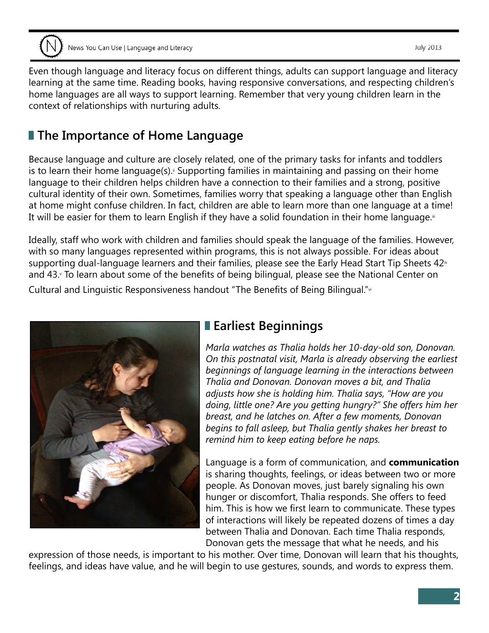Even though language and literacy focus on different things, adults can support language and literacy learning at the same time. Reading books, having responsive conversations, and respecting children's home languages are all ways to support learning. Remember that very young children learn in the context of relationships with nurturing adults.

# **The Importance of Home Language**

Because language and culture are closely related, one of the primary tasks for infants and toddlers is to learn their home language(s).<sup>ii</sup> Supporting families in maintaining and passing on their home language to their children helps children have a connection to their families and a strong, positive cultural identity of their own. Sometimes, families worry that speaking a language other than English at home might confuse children. In fact, children are able to learn more than one language at a time! It will be easier for them to learn English if they have a solid foundation in their home language.iii

supporting dual-language learners and their families, please see the Early Head Start Tip Sheets  $42^{\omega}$ Ideally, staff who work with children and families should speak the language of the families. However, with so many languages represented within programs, this is not always possible. For ideas about and 43. To learn about some of the benefits of being bilingual, please see the National Center on Cultural and Linguistic Responsiveness handout "The Benefits of Being Bilingual."vi



## **Earliest Beginnings**

*Marla watches as Thalia holds her 10-day-old son, Donovan. On this postnatal visit, Marla is already observing the earliest beginnings of language learning in the interactions between Thalia and Donovan. Donovan moves a bit, and Thalia adjusts how she is holding him. Thalia says, "How are you doing, little one? Are you getting hungry?" She offers him her breast, and he latches on. After a few moments, Donovan begins to fall asleep, but Thalia gently shakes her breast to remind him to keep eating before he naps.* 

Language is a form of communication, and **communication**  is sharing thoughts, feelings, or ideas between two or more people. As Donovan moves, just barely signaling his own hunger or discomfort, Thalia responds. She offers to feed him. This is how we first learn to communicate. These types of interactions will likely be repeated dozens of times a day between Thalia and Donovan. Each time Thalia responds, Donovan gets the message that what he needs, and his

expression of those needs, is important to his mother. Over time, Donovan will learn that his thoughts, feelings, and ideas have value, and he will begin to use gestures, sounds, and words to express them.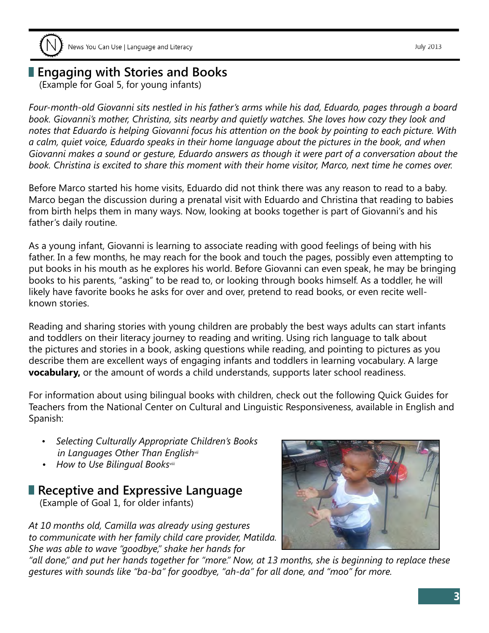## **Engaging with Stories and Books**

(Example for Goal 5, for young infants)

*Four-month-old Giovanni sits nestled in his father's arms while his dad, Eduardo, pages through a board book. Giovanni's mother, Christina, sits nearby and quietly watches. She loves how cozy they look and notes that Eduardo is helping Giovanni focus his attention on the book by pointing to each picture. With a calm, quiet voice, Eduardo speaks in their home language about the pictures in the book, and when Giovanni makes a sound or gesture, Eduardo answers as though it were part of a conversation about the book. Christina is excited to share this moment with their home visitor, Marco, next time he comes over.* 

Before Marco started his home visits, Eduardo did not think there was any reason to read to a baby. Marco began the discussion during a prenatal visit with Eduardo and Christina that reading to babies from birth helps them in many ways. Now, looking at books together is part of Giovanni's and his father's daily routine.

As a young infant, Giovanni is learning to associate reading with good feelings of being with his father. In a few months, he may reach for the book and touch the pages, possibly even attempting to put books in his mouth as he explores his world. Before Giovanni can even speak, he may be bringing books to his parents, "asking" to be read to, or looking through books himself. As a toddler, he will likely have favorite books he asks for over and over, pretend to read books, or even recite wellknown stories.

Reading and sharing stories with young children are probably the best ways adults can start infants and toddlers on their literacy journey to reading and writing. Using rich language to talk about the pictures and stories in a book, asking questions while reading, and pointing to pictures as you describe them are excellent ways of engaging infants and toddlers in learning vocabulary. A large **vocabulary,** or the amount of words a child understands, supports later school readiness.

For information about using bilingual books with children, check out the following Quick Guides for Teachers from the National Center on Cultural and Linguistic Responsiveness, available in English and Spanish:

- *Selecting Culturally Appropriate Children's Books in Languages Other Than Englishvii*
- *How to Use Bilingual Booksviii*

## **Receptive and Expressive Language**

(Example of Goal 1, for older infants)

*At 10 months old, Camilla was already using gestures to communicate with her family child care provider, Matilda. She was able to wave "goodbye," shake her hands for* 



*"all done," and put her hands together for "more." Now, at 13 months, she is beginning to replace these gestures with sounds like "ba-ba" for goodbye, "ah-da" for all done, and "moo" for more.*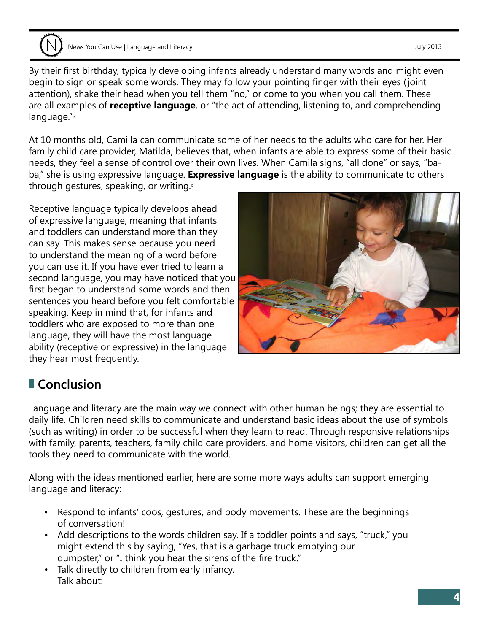News You Can Use | Language and Literacy

language."ix By their first birthday, typically developing infants already understand many words and might even begin to sign or speak some words. They may follow your pointing finger with their eyes ( joint attention), shake their head when you tell them "no," or come to you when you call them. These are all examples of **receptive language**, or "the act of attending, listening to, and comprehending

At 10 months old, Camilla can communicate some of her needs to the adults who care for her. Her family child care provider, Matilda, believes that, when infants are able to express some of their basic needs, they feel a sense of control over their own lives. When Camila signs, "all done" or says, "baba," she is using expressive language. **Expressive language** is the ability to communicate to others through gestures, speaking, or writing. $x$ 

Receptive language typically develops ahead of expressive language, meaning that infants and toddlers can understand more than they can say. This makes sense because you need to understand the meaning of a word before you can use it. If you have ever tried to learn a second language, you may have noticed that you first began to understand some words and then sentences you heard before you felt comfortable speaking. Keep in mind that, for infants and toddlers who are exposed to more than one language, they will have the most language ability (receptive or expressive) in the language they hear most frequently.

# **Conclusion**

Language and literacy are the main way we connect with other human beings; they are essential to daily life. Children need skills to communicate and understand basic ideas about the use of symbols (such as writing) in order to be successful when they learn to read. Through responsive relationships with family, parents, teachers, family child care providers, and home visitors, children can get all the tools they need to communicate with the world.

Along with the ideas mentioned earlier, here are some more ways adults can support emerging language and literacy:

- Respond to infants' coos, gestures, and body movements. These are the beginnings of conversation!
- Add descriptions to the words children say. If a toddler points and says, "truck," you might extend this by saying, "Yes, that is a garbage truck emptying our dumpster," or "I think you hear the sirens of the fire truck."
- Talk directly to children from early infancy. Talk about:



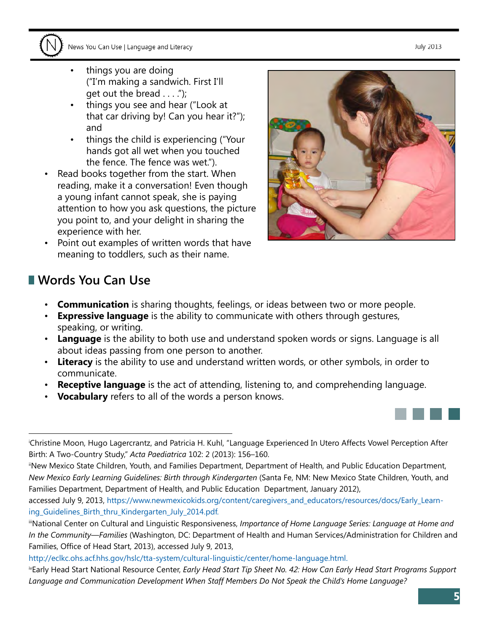

- things you are doing ("I'm making a sandwich. First I'll get out the bread  $\dots$ .");
- things you see and hear ("Look at that car driving by! Can you hear it?"); and
- things the child is experiencing ("Your hands got all wet when you touched the fence. The fence was wet.").
- Read books together from the start. When reading, make it a conversation! Even though a young infant cannot speak, she is paying attention to how you ask questions, the picture you point to, and your delight in sharing the experience with her.
- Point out examples of written words that have meaning to toddlers, such as their name.



## **Words You Can Use**

- **Communication** is sharing thoughts, feelings, or ideas between two or more people.
- **Expressive language** is the ability to communicate with others through gestures, speaking, or writing.
- **Language** is the ability to both use and understand spoken words or signs. Language is all about ideas passing from one person to another.
- **Literacy** is the ability to use and understand written words, or other symbols, in order to communicate.
- **Receptive language** is the act of attending, listening to, and comprehending language.
- **Vocabulary** refers to all of the words a person knows.

[accessed July 9, 2013, https://www.newmexicokids.org/content/caregivers\\_and\\_educators/resources/docs/Early\\_Learn](https://www.newmexicokids.org/content/caregivers_and_educators/resources/docs/Early_Learning_Guidelines_Birth_thru_Kindergarten_July_2014.pdf)ing\_Guidelines\_Birth\_thru\_Kindergarten\_July\_2014.pdf.

i Christine Moon, Hugo Lagercrantz, and Patricia H. Kuhl, "Language Experienced In Utero Affects Vowel Perception After Birth: A Two-Country Study," *Acta Paediatrica* 102: 2 (2013): 156–160.

iiNew Mexico State Children, Youth, and Families Department, Department of Health, and Public Education Department, *New Mexico Early Learning Guidelines: Birth through Kindergarten* (Santa Fe, NM: New Mexico State Children, Youth, and Families Department, Department of Health, and Public Education Department, January 2012),

iiiNational Center on Cultural and Linguistic Responsiveness, *Importance of Home Language Series: Language at Home and In the Community—Families* (Washington, DC: Department of Health and Human Services/Administration for Children and Families, Office of Head Start, 2013), accessed July 9, 2013,

[http://eclkc.ohs.acf.hhs.gov/hslc/tta-system/cultural-linguistic/center/home-language.html.](http://eclkc.ohs.acf.hhs.gov/hslc/tta-system/cultural-linguistic/home-language.html) 

 *Language and Communication Development When Staff Members Do Not Speak the Child's Home Language?* ivEarly Head Start National Resource Center, *Early Head Start Tip Sheet No. 42: How Can Early Head Start Programs Support*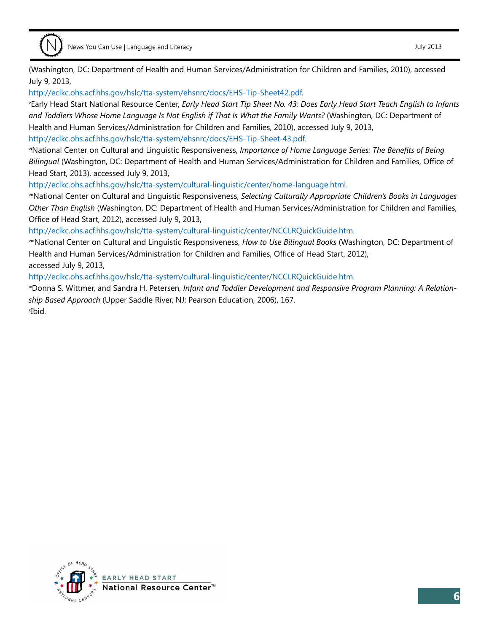(Washington, DC: Department of Health and Human Services/Administration for Children and Families, 2010), accessed July 9, 2013,

[http://eclkc.ohs.acf.hhs.gov/hslc/tta-system/ehsnrc/docs/EHS-Tip-Sheet42.pdf.](http://eclkc.ohs.acf.hhs.gov/hslc/tta-system/ehsnrc/docs/EHS-Tip-Sheet42.pdf)

v Early Head Start National Resource Center, *Early Head Start Tip Sheet No. 43: Does Early Head Start Teach English to Infants and Toddlers Whose Home Language Is Not English if That Is What the Family Wants?* (Washington, DC: Department of Health and Human Services/Administration for Children and Families, 2010), accessed July 9, 2013, <http://eclkc.ohs.acf.hhs.gov/hslc/tta-system/ehsnrc/docs/EHS-Tip-Sheet-43.pdf>.

viNational Center on Cultural and Linguistic Responsiveness, *Importance of Home Language Series: The Benefits of Being Bilingual* (Washington, DC: Department of Health and Human Services/Administration for Children and Families, Office of Head Start, 2013), accessed July 9, 2013,

[http://eclkc.ohs.acf.hhs.gov/hslc/tta-system/cultural-linguistic/center/home-language.html.](http://eclkc.ohs.acf.hhs.gov/hslc/tta-system/cultural-linguistic/home-language.html) 

viiNational Center on Cultural and Linguistic Responsiveness, *Selecting Culturally Appropriate Children's Books in Languages Other Than English* (Washington, DC: Department of Health and Human Services/Administration for Children and Families, Office of Head Start, 2012), accessed July 9, 2013,

[http://eclkc.ohs.acf.hhs.gov/hslc/tta-system/cultural-linguistic/center/NCCLRQuickGuide.htm.](http://eclkc.ohs.acf.hhs.gov/hslc/tta-system/cultural-linguistic/ncclrquickguide.htm) 

viiiNational Center on Cultural and Linguistic Responsiveness, *How to Use Bilingual Books* (Washington, DC: Department of Health and Human Services/Administration for Children and Families, Office of Head Start, 2012), accessed July 9, 2013,

[http://eclkc.ohs.acf.hhs.gov/hslc/tta-system/cultural-linguistic/center/NCCLRQuickGuide.htm.](http://eclkc.ohs.acf.hhs.gov/hslc/tta-system/cultural-linguistic/ncclrquickguide.htm) 

ixDonna S. Wittmer, and Sandra H. Petersen, *Infant and Toddler Development and Responsive Program Planning: A Relationship Based Approach* (Upper Saddle River, NJ: Pearson Education, 2006), 167. x Ibid.